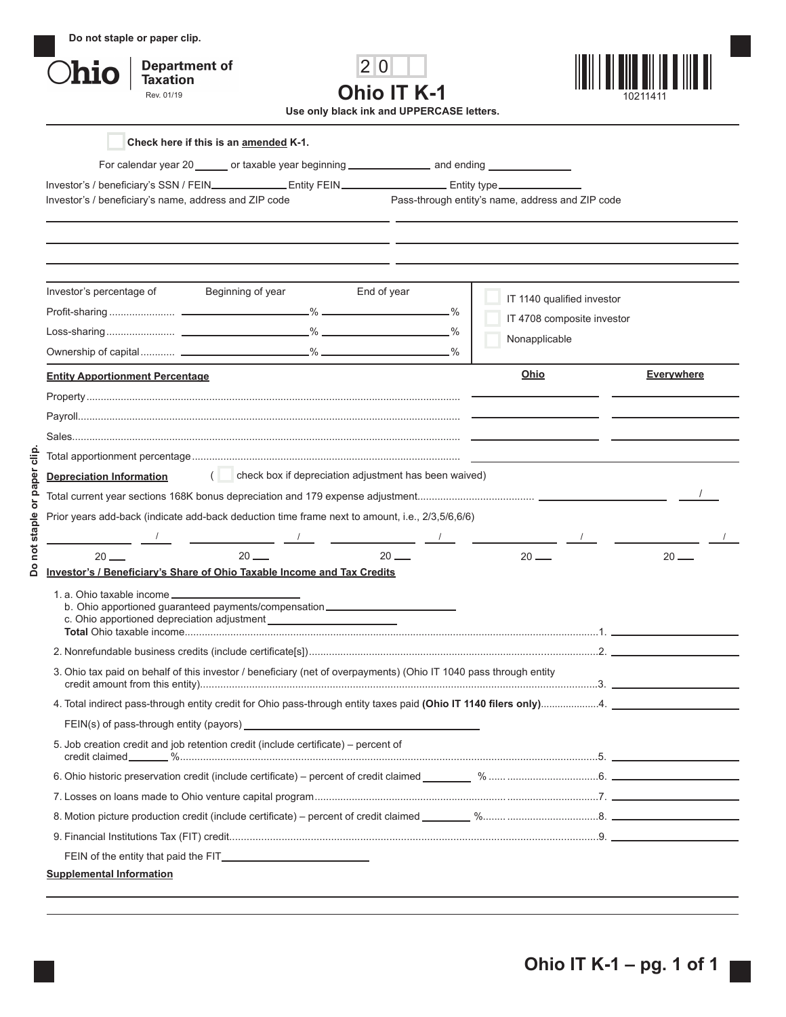| <b>Department of</b><br><b>Taxation</b><br>Rev. 01/19                                                                                                                      |                                                                                                | 2 0<br><b>Ohio IT K-1</b><br>Use only black ink and UPPERCASE letters. |                                                  |                            |                   |
|----------------------------------------------------------------------------------------------------------------------------------------------------------------------------|------------------------------------------------------------------------------------------------|------------------------------------------------------------------------|--------------------------------------------------|----------------------------|-------------------|
|                                                                                                                                                                            | Check here if this is an amended K-1.                                                          |                                                                        |                                                  |                            |                   |
|                                                                                                                                                                            | For calendar year 20 ______ or taxable year beginning _______________ and ending _____________ |                                                                        |                                                  |                            |                   |
| Investor's / beneficiary's SSN / FEIN_______________Entity FEIN___________________Entity type________________                                                              |                                                                                                |                                                                        |                                                  |                            |                   |
| Investor's / beneficiary's name, address and ZIP code                                                                                                                      |                                                                                                |                                                                        | Pass-through entity's name, address and ZIP code |                            |                   |
| Investor's percentage of                                                                                                                                                   | Beginning of year                                                                              | End of year                                                            |                                                  | IT 1140 qualified investor |                   |
|                                                                                                                                                                            |                                                                                                |                                                                        |                                                  | IT 4708 composite investor |                   |
|                                                                                                                                                                            |                                                                                                |                                                                        | Nonapplicable                                    |                            |                   |
|                                                                                                                                                                            |                                                                                                |                                                                        |                                                  |                            |                   |
| <b>Entity Apportionment Percentage</b>                                                                                                                                     |                                                                                                |                                                                        | Ohio                                             |                            | <b>Everywhere</b> |
|                                                                                                                                                                            |                                                                                                |                                                                        |                                                  |                            |                   |
|                                                                                                                                                                            |                                                                                                |                                                                        |                                                  |                            |                   |
|                                                                                                                                                                            |                                                                                                |                                                                        |                                                  |                            |                   |
|                                                                                                                                                                            |                                                                                                |                                                                        |                                                  |                            |                   |
|                                                                                                                                                                            |                                                                                                |                                                                        |                                                  |                            |                   |
| <b>Depreciation Information</b>                                                                                                                                            |                                                                                                | check box if depreciation adjustment has been waived)                  |                                                  |                            |                   |
|                                                                                                                                                                            |                                                                                                |                                                                        |                                                  |                            |                   |
|                                                                                                                                                                            |                                                                                                |                                                                        |                                                  |                            |                   |
| $20 -$                                                                                                                                                                     | $20 -$                                                                                         | $20 -$                                                                 | $20 -$                                           |                            | $20 -$            |
| Prior years add-back (indicate add-back deduction time frame next to amount, i.e., 2/3,5/6,6/6)<br>Investor's / Beneficiary's Share of Ohio Taxable Income and Tax Credits |                                                                                                |                                                                        |                                                  |                            |                   |
| 1. a. Ohio taxable income ___________                                                                                                                                      | b. Ohio apportioned guaranteed payments/compensation.                                          |                                                                        |                                                  |                            |                   |
|                                                                                                                                                                            |                                                                                                |                                                                        |                                                  |                            |                   |
| 3. Ohio tax paid on behalf of this investor / beneficiary (net of overpayments) (Ohio IT 1040 pass through entity                                                          |                                                                                                |                                                                        |                                                  |                            |                   |
| 4. Total indirect pass-through entity credit for Ohio pass-through entity taxes paid (Ohio IT 1140 filers only)4.                                                          |                                                                                                |                                                                        |                                                  |                            |                   |
|                                                                                                                                                                            |                                                                                                |                                                                        |                                                  |                            |                   |
| 5. Job creation credit and job retention credit (include certificate) – percent of                                                                                         |                                                                                                |                                                                        |                                                  |                            |                   |
|                                                                                                                                                                            |                                                                                                |                                                                        |                                                  |                            |                   |
|                                                                                                                                                                            |                                                                                                |                                                                        |                                                  |                            |                   |
|                                                                                                                                                                            |                                                                                                |                                                                        |                                                  |                            |                   |
|                                                                                                                                                                            |                                                                                                |                                                                        |                                                  |                            |                   |

 $\mathcal{L}^{\mathcal{L}}$ 

Do not staple or paper clip. **Do not staple or paper clip.**